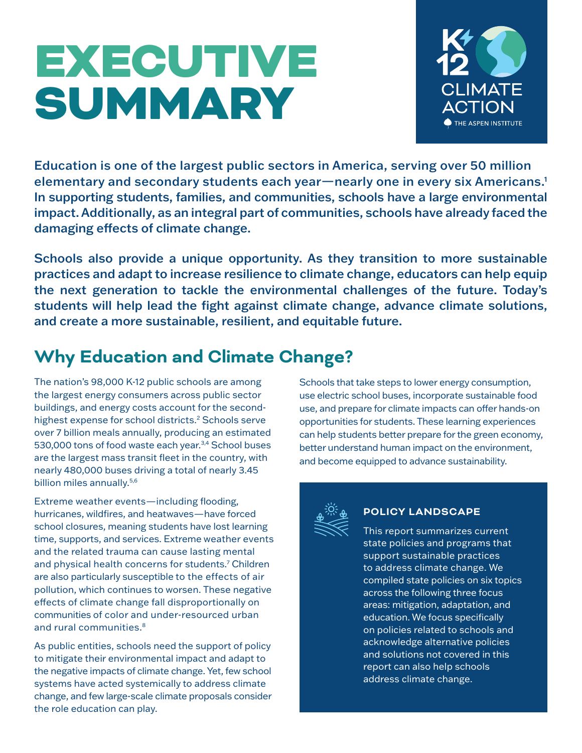# EXECUTIVE **SUMMARY**



Education is one of the largest public sectors in America, serving over 50 million elementary and secondary students each year—nearly one in every six Americans.1 In supporting students, families, and communities, schools have a large environmental impact. Additionally, as an integral part of communities, schools have already faced the damaging effects of climate change.

Schools also provide a unique opportunity. As they transition to more sustainable practices and adapt to increase resilience to climate change, educators can help equip the next generation to tackle the environmental challenges of the future. Today's students will help lead the fight against climate change, advance climate solutions, and create a more sustainable, resilient, and equitable future.

## **Why Education and Climate Change?**

The nation's 98,000 K-12 public schools are among the largest energy consumers across public sector buildings, and energy costs account for the secondhighest expense for school districts.<sup>2</sup> Schools serve over 7 billion meals annually, producing an estimated 530,000 tons of food waste each year.<sup>3,4</sup> School buses are the largest mass transit fleet in the country, with nearly 480,000 buses driving a total of nearly 3.45 billion miles annually.<sup>5,6</sup>

Extreme weather events—including flooding, hurricanes, wildfires, and heatwaves—have forced school closures, meaning students have lost learning time, supports, and services. Extreme weather events and the related trauma can cause lasting mental and physical health concerns for students.7 Children are also particularly susceptible to the effects of air pollution, which continues to worsen. These negative effects of climate change fall disproportionally on communities of color and under-resourced urban and rural communities.<sup>8</sup>

As public entities, schools need the support of policy to mitigate their environmental impact and adapt to the negative impacts of climate change. Yet, few school systems have acted systemically to address climate change, and few large-scale climate proposals consider the role education can play.

Schools that take steps to lower energy consumption, use electric school buses, incorporate sustainable food use, and prepare for climate impacts can offer hands-on opportunities for students. These learning experiences can help students better prepare for the green economy, better understand human impact on the environment, and become equipped to advance sustainability.



#### **POLICY LANDSCAPE**

This report summarizes current state policies and programs that support sustainable practices to address climate change. We compiled state policies on six topics across the following three focus areas: mitigation, adaptation, and education. We focus specifically on policies related to schools and acknowledge alternative policies and solutions not covered in this report can also help schools address climate change.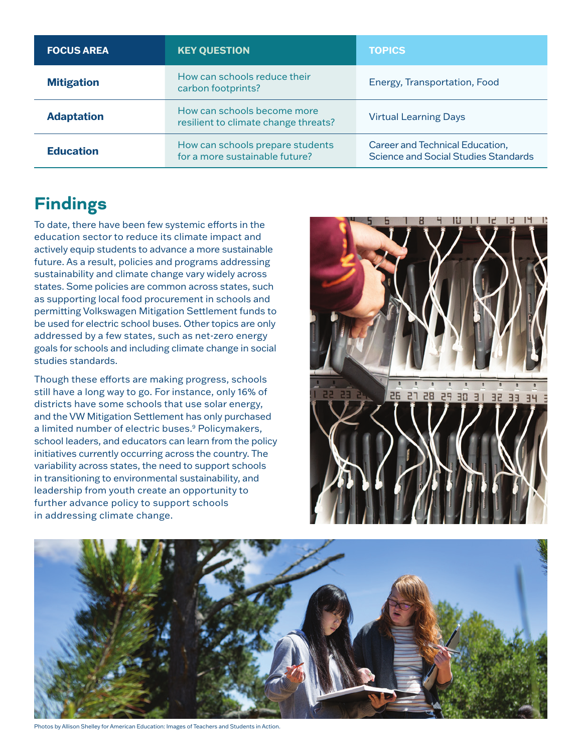| <b>FOCUS AREA</b> | <b>KEY QUESTION</b>                                                 | <b>TOPICS</b>                                                           |
|-------------------|---------------------------------------------------------------------|-------------------------------------------------------------------------|
| <b>Mitigation</b> | How can schools reduce their<br>carbon footprints?                  | Energy, Transportation, Food                                            |
| <b>Adaptation</b> | How can schools become more<br>resilient to climate change threats? | <b>Virtual Learning Days</b>                                            |
| <b>Education</b>  | How can schools prepare students<br>for a more sustainable future?  | Career and Technical Education,<br>Science and Social Studies Standards |

## **Findings**

To date, there have been few systemic efforts in the education sector to reduce its climate impact and actively equip students to advance a more sustainable future. As a result, policies and programs addressing sustainability and climate change vary widely across states. Some policies are common across states, such as supporting local food procurement in schools and permitting Volkswagen Mitigation Settlement funds to be used for electric school buses. Other topics are only addressed by a few states, such as net-zero energy goals for schools and including climate change in social studies standards.

Though these efforts are making progress, schools still have a long way to go. For instance, only 16% of districts have some schools that use solar energy, and the VW Mitigation Settlement has only purchased a limited number of electric buses.<sup>9</sup> Policymakers, school leaders, and educators can learn from the policy initiatives currently occurring across the country. The variability across states, the need to support schools in transitioning to environmental sustainability, and leadership from youth create an opportunity to further advance policy to support schools in addressing climate change.





Photos by Allison Shelley for American Education: Images of Teachers and Students in Action.